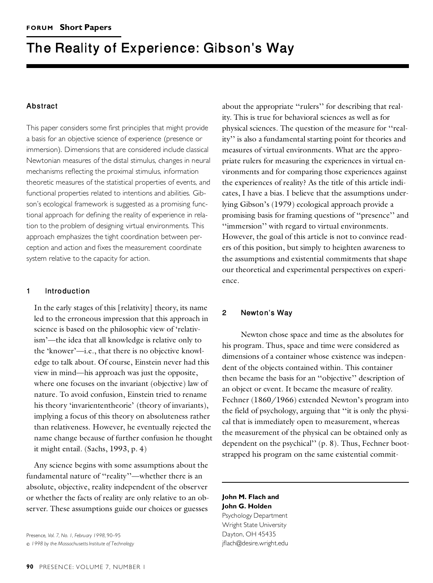# **The Reality of Experience: Gibson's Way**

## **Abstract**

This paper considers some first principles that might provide a basis for an objective science of experience (presence or immersion). Dimensions that are considered include classical Newtonian measures of the distal stimulus, changes in neural mechanisms reflecting the proximal stimulus, information theoretic measures of the statistical properties of events, and functional properties related to intentions and abilities. Gibson's ecological framework is suggested as a promising functional approach for defining the reality of experience in relation to the problem of designing virtual environments. This approach emphasizes the tight coordination between perception and action and fixes the measurement coordinate system relative to the capacity for action.

## **1 Introduction**

In the early stages of this [relativity] theory, its name Let to the erroneous impression that this approach in science is based on the philosophic view of 'relativism'—the idea that all knowledge is relative only to the 'knower'—i.e., that there is no objective knowledge to talk about. Of course, Einstein never had this view in mind—his approach was just the opposite, where one focuses on the invariant (objective) law of nature. To avoid confusion, Einstein tried to rename his theory 'invariententheorie' (theory of invariants), implying a focus of this theory on absoluteness rather than relativeness. However, he eventually rejected the name change because of further confusion he thought it might entail. (Sachs, 1993, p. 4)

Any science begins with some assumptions about the fundamental nature of ''reality''—whether there is an absolute, objective, reality independent of the observer or whether the facts of reality are only relative to an observer. These assumptions guide our choices or guesses

Presence, *Vol. 7, No. 1, February 1998,* 90–95  $C$  1998 by the Massachusetts Institute of Technology

about the appropriate ''rulers'' for describing that reality. This is true for behavioral sciences as well as for physical sciences. The question of the measure for ''reality'' is also a fundamental starting point for theories and measures of virtual environments. What are the appropriate rulers for measuring the experiences in virtual environments and for comparing those experiences against the experiences of reality? As the title of this article indicates, I have a bias. I believe that the assumptions underlying Gibson's (1979) ecological approach provide a promising basis for framing questions of ''presence'' and ''immersion'' with regard to virtual environments. However, the goal of this article is not to convince readers of this position, but simply to heighten awareness to the assumptions and existential commitments that shape our theoretical and experimental perspectives on experience.

## **<sup>2</sup> Newton © <sup>s</sup> Way**

Newton chose space and time as the absolutes for his program. Thus, space and time were considered as dimensions of a container whose existence was independent of the objects contained within. This container then became the basis for an ''objective'' description of an object or event. It became the measure of reality. Fechner (1860/1966) extended Newton's program into the field of psychology, arguing that ''it is only the physical that is immediately open to measurement, whereas the measurement of the physical can be obtained only as dependent on the psychical'' (p. 8). Thus, Fechner bootstrapped his program on the same existential commit-

# **John M. Flach and John G. Holden** Psychology Department

Wright State University Dayton, OH 45435 jflach@desire.wright.edu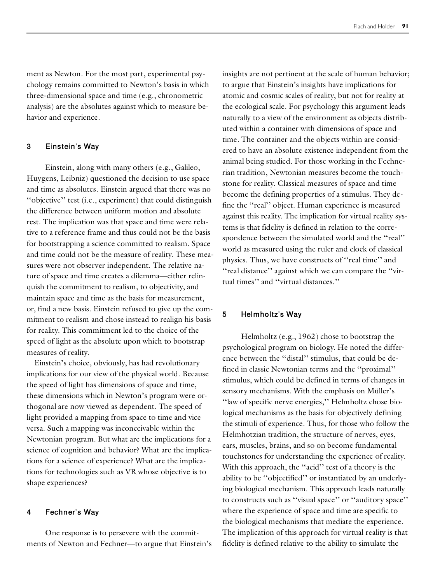ment as Newton. For the most part, experimental psychology remains committed to Newton's basis in which three-dimensional space and time (e.g., chronometric analysis) are the absolutes against which to measure behavior and experience.

## **<sup>3</sup> Einstein © <sup>s</sup> Way**

Einstein, along with many others (e.g., Galileo, Huygens, Leibniz) questioned the decision to use space and time as absolutes. Einstein argued that there was no "objective" test (i.e., experiment) that could distinguish the difference between uniform motion and absolute rest. The implication was that space and time were relative to a reference frame and thus could not be the basis for bootstrapping a science committed to realism. Space and time could not be the measure of reality. These measures were not observer independent. The relative nature of space and time creates a dilemma—either relinquish the commitment to realism, to objectivity, and maintain space and time as the basis for measurement, or, find a new basis. Einstein refused to give up the commitment to realism and chose instead to realign his basis for reality. This commitment led to the choice of the speed of light as the absolute upon which to bootstrap measures of reality.

Einstein's choice, obviously, has had revolutionary implications for our view of the physical world. Because the speed of light has dimensions of space and time, these dimensions which in Newton's program were orthogonal are now viewed as dependent. The speed of light provided a mapping from space to time and vice versa. Such a mapping was inconceivable within the Newtonian program. But what are the implications for a science of cognition and behavior? What are the implications for a science of experience? What are the implications for technologies such as VR whose objective is to shape experiences?

### **<sup>4</sup> Fechner © <sup>s</sup> Way**

One response is to persevere with the commitments of Newton and Fechner—to argue that Einstein's insights are not pertinent at the scale of human behavior; to argue that Einstein's insights have implications for atomic and cosmic scales of reality, but not for reality at the ecological scale. For psychology this argument leads naturally to a view of the environment as objects distributed within a container with dimensions of space and time. The container and the objects within are considered to have an absolute existence independent from the animal being studied. For those working in the Fechnerian tradition, Newtonian measures become the touchstone for reality. Classical measures of space and time become the defining properties of a stimulus. They define the ''real'' object. Human experience is measured against this reality. The implication for virtual reality systems is that fidelity is defined in relation to the correspondence between the simulated world and the "real" world as measured using the ruler and clock of classical physics. Thus, we have constructs of ''real time'' and ''real distance'' against which we can compare the ''virtual times'' and ''virtual distances.''

# **5 Helmholtz© s Way**

Helmholtz (e.g., 1962) chose to bootstrap the psychological program on biology. He noted the difference between the ''distal'' stimulus, that could be defined in classic Newtonian terms and the ''proximal'' stimulus, which could be defined in terms of changes in sensory mechanisms. With the emphasis on Müller's ''law of specific nerve energies,'' Helmholtz chose biological mechanisms as the basis for objectively defining the stimuli of experience. Thus, for those who follow the Helmhotzian tradition, the structure of nerves, eyes, ears, muscles, brains, and so on become fundamental touchstones for understanding the experience of reality. With this approach, the "acid" test of a theory is the ability to be ''objectified'' or instantiated by an underlying biological mechanism. This approach leads naturally to constructs such as ''visual space'' or ''auditory space'' where the experience of space and time are specific to the biological mechanisms that mediate the experience. The implication of this approach for virtual reality is that fidelity is defined relative to the ability to simulate the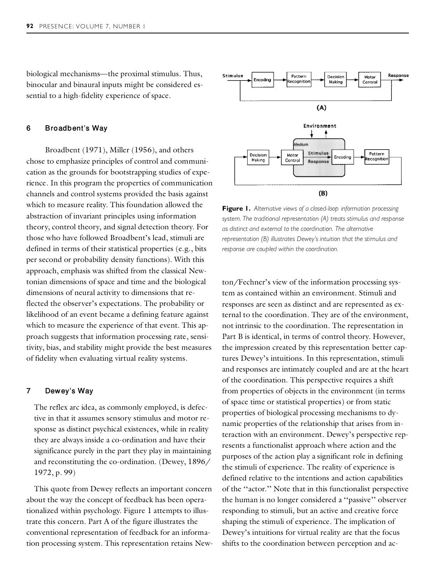biological mechanisms—the proximal stimulus. Thus, binocular and binaural inputs might be considered essential to a high-fidelity experience of space.

#### **6 Broadbent© s Way**

Broadbent (1971), Miller (1956), and others chose to emphasize principles of control and communication as the grounds for bootstrapping studies of experience. In this program the properties of communication channels and control systems provided the basis against which to measure reality. This foundation allowed the abstraction of invariant principles using information theory, control theory, and signal detection theory. For those who have followed Broadbent's lead, stimuli are defined in terms of their statistical properties (e.g., bits per second or probability density functions). With this approach, emphasis was shifted from the classical Newtonian dimensions of space and time and the biological dimensions of neural activity to dimensions that reflected the observer's expectations. The probability or likelihood of an event became a defining feature against which to measure the experience of that event. This approach suggests that information processing rate, sensitivity, bias, and stability might provide the best measures of fidelity when evaluating virtual reality systems.

## **7 Dewey© s Way**

The reflex arc idea, as commonly employed, is defective in that it assumes sensory stimulus and motor response as distinct psychical existences, while in reality they are always inside a co-ordination and have their significance purely in the part they play in maintaining and reconstituting the co-ordination. (Dewey, 1896/ 1972, p. 99)

This quote from Dewey reflects an important concern about the way the concept of feedback has been operationalized within psychology. Figure 1 attempts to illustrate this concern. Part A of the figure illustrates the conventional representation of feedback for an information processing system. This representation retains New-



**Figure 1.** *Alternative views of a closed-loop information processing system. The traditional representation (A) treats stimulus and response as distinct and external to the coordination. The alternative representation (B) illustrates Dewey's intuition that the stimulus and response are coupled within the coordination.*

ton/Fechner's view of the information processing system as contained within an environment. Stimuli and responses are seen as distinct and are represented as external to the coordination. They are of the environment, not intrinsic to the coordination. The representation in Part B is identical, in terms of control theory. However, the impression created by this representation better captures Dewey's intuitions. In this representation, stimuli and responses are intimately coupled and are at the heart of the coordination. This perspective requires a shift from properties of objects in the environment (in terms of space time or statistical properties) or from static properties of biological processing mechanisms to dynamic properties of the relationship that arises from interaction with an environment. Dewey's perspective represents a functionalist approach where action and the purposes of the action play a significant role in defining the stimuli of experience. The reality of experience is defined relative to the intentions and action capabilities of the ''actor.'' Note that in this functionalist perspective the human is no longer considered a ''passive'' observer responding to stimuli, but an active and creative force shaping the stimuli of experience. The implication of Dewey's intuitions for virtual reality are that the focus shifts to the coordination between perception and ac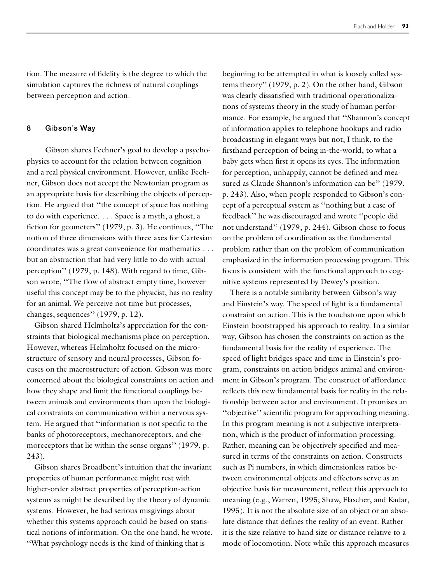tion. The measure of fidelity is the degree to which the simulation captures the richness of natural couplings between perception and action.

### **8 Gibson© s Way**

Gibson shares Fechner's goal to develop a psychophysics to account for the relation between cognition and a real physical environment. However, unlike Fechner, Gibson does not accept the Newtonian program as an appropriate basis for describing the objects of perception. He argued that ''the concept of space has nothing to do with experience. . . . Space is a myth, a ghost, a fiction for geometers'' (1979, p. 3). He continues, ''The notion of three dimensions with three axes for Cartesian coordinates was a great convenience for mathematics . . . but an abstraction that had very little to do with actual perception'' (1979, p. 148). With regard to time, Gibson wrote, ''The flow of abstract empty time, however useful this concept may be to the physicist, has no reality for an animal. We perceive not time but processes, changes, sequences'' (1979, p. 12).

Gibson shared Helmholtz's appreciation for the constraints that biological mechanisms place on perception. However, whereas Helmholtz focused on the microstructure of sensory and neural processes, Gibson focuses on the macrostructure of action. Gibson was more concerned about the biological constraints on action and how they shape and limit the functional couplings between animals and environments than upon the biological constraints on communication within a nervous system. He argued that ''information is not specific to the banks of photoreceptors, mechanoreceptors, and chemoreceptors that lie within the sense organs'' (1979, p. 243).

Gibson shares Broadbent's intuition that the invariant properties of human performance might rest with higher-order abstract properties of perception-action systems as might be described by the theory of dynamic systems. However, he had serious misgivings about whether this systems approach could be based on statistical notions of information. On the one hand, he wrote, ''What psychology needs is the kind of thinking that is

beginning to be attempted in what is loosely called systems theory'' (1979, p. 2). On the other hand, Gibson was clearly dissatisfied with traditional operationalizations of systems theory in the study of human performance. For example, he argued that ''Shannon's concept of information applies to telephone hookups and radio broadcasting in elegant ways but not, I think, to the firsthand perception of being in-the-world, to what a baby gets when first it opens its eyes. The information for perception, unhappily, cannot be defined and measured as Claude Shannon's information can be" (1979, p. 243). Also, when people responded to Gibson's concept of a perceptual system as ''nothing but a case of feedback'' he was discouraged and wrote ''people did not understand'' (1979, p. 244). Gibson chose to focus on the problem of coordination as the fundamental problem rather than on the problem of communication emphasized in the information processing program. This focus is consistent with the functional approach to cognitive systems represented by Dewey's position.

There is a notable similarity between Gibson's way and Einstein's way. The speed of light is a fundamental constraint on action. This is the touchstone upon which Einstein bootstrapped his approach to reality. In a similar way, Gibson has chosen the constraints on action as the fundamental basis for the reality of experience. The speed of light bridges space and time in Einstein's program, constraints on action bridges animal and environment in Gibson's program. The construct of affordance reflects this new fundamental basis for reality in the relationship between actor and environment. It promises an "objective" scientific program for approaching meaning. In this program meaning is not a subjective interpretation, which is the product of information processing. Rather, meaning can be objectively specified and measured in terms of the constraints on action. Constructs such as Pi numbers, in which dimensionless ratios between environmental objects and effectors serve as an objective basis for measurement, reflect this approach to meaning (e.g., Warren, 1995; Shaw, Flascher, and Kadar, 1995). It is not the absolute size of an object or an absolute distance that defines the reality of an event. Rather it is the size relative to hand size or distance relative to a mode of locomotion. Note while this approach measures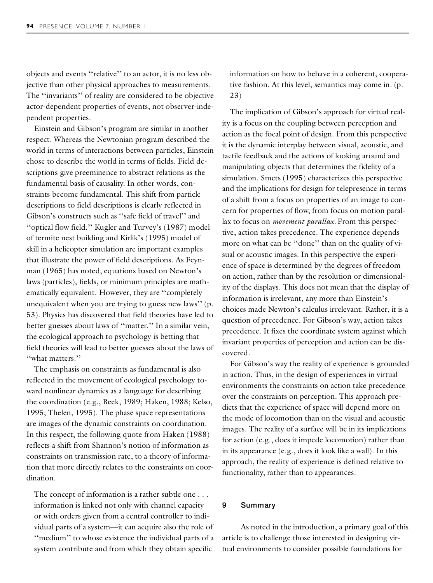objects and events ''relative'' to an actor, it is no less objective than other physical approaches to measurements. The ''invariants'' of reality are considered to be objective actor-dependent properties of events, not observer-independent properties.

Einstein and Gibson's program are similar in another respect. Whereas the Newtonian program described the world in terms of interactions between particles, Einstein chose to describe the world in terms of fields. Field descriptions give preeminence to abstract relations as the fundamental basis of causality. In other words, constraints become fundamental. This shift from particle descriptions to field descriptions is clearly reflected in Gibson's constructs such as ''safe field of travel'' and ''optical flow field.'' Kugler and Turvey's (1987) model of termite nest building and Kirlik's (1995) model of skill in a helicopter simulation are important examples that illustrate the power of field descriptions. As Feynman (1965) has noted, equations based on Newton's laws (particles), fields, or minimum principles are mathematically equivalent. However, they are ''completely unequivalent when you are trying to guess new laws'' (p. 53). Physics has discovered that field theories have led to better guesses about laws of ''matter.'' In a similar vein, the ecological approach to psychology is betting that field theories will lead to better guesses about the laws of ''what matters.''

The emphasis on constraints as fundamental is also reflected in the movement of ecological psychology toward nonlinear dynamics as a language for describing the coordination (e.g., Beek, 1989; Haken, 1988; Kelso, 1995; Thelen, 1995). The phase space representations are images of the dynamic constraints on coordination. In this respect, the following quote from Haken (1988) reflects a shift from Shannon's notion of information as constraints on transmission rate, to a theory of information that more directly relates to the constraints on coordination.

The concept of information is a rather subtle one . . . information is linked not only with channel capacity or with orders given from a central controller to individual parts of a system—it can acquire also the role of ''medium'' to whose existence the individual parts of a system contribute and from which they obtain specific

information on how to behave in a coherent, cooperative fashion. At this level, semantics may come in. (p. 23)

The implication of Gibson's approach for virtual reality is a focus on the coupling between perception and action as the focal point of design. From this perspective it is the dynamic interplay between visual, acoustic, and tactile feedback and the actions of looking around and manipulating objects that determines the fidelity of a simulation. Smets (1995) characterizes this perspective and the implications for design for telepresence in terms of a shift from a focus on properties of an image to concern for properties of flow, from focus on motion parallax to focus on *movement parallax.* From this perspective, action takes precedence. The experience depends more on what can be "done" than on the quality of visual or acoustic images. In this perspective the experience of space is determined by the degrees of freedom on action, rather than by the resolution or dimensionality of the displays. This does not mean that the display of information is irrelevant, any more than Einstein's choices made Newton's calculus irrelevant. Rather, it is a question of precedence. For Gibson's way, action takes precedence. It fixes the coordinate system against which invariant properties of perception and action can be discovered.

For Gibson's way the reality of experience is grounded in action. Thus, in the design of experiences in virtual environments the constraints on action take precedence over the constraints on perception. This approach predicts that the experience of space will depend more on the mode of locomotion than on the visual and acoustic images. The reality of a surface will be in its implications for action (e.g., does it impede locomotion) rather than in its appearance (e.g., does it look like a wall). In this approach, the reality of experience is defined relative to functionality, rather than to appearances.

#### **9 Summary**

As noted in the introduction, a primary goal of this article is to challenge those interested in designing virtual environments to consider possible foundations for